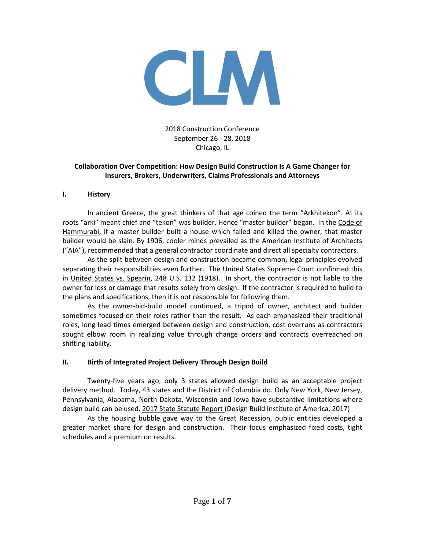

2018 Construction Conference September 26 - 28, 2018 Chicago, IL

## **Collaboration Over Competition: How Design Build Construction Is A Game Changer for Insurers, Brokers, Underwriters, Claims Professionals and Attorneys**

#### **I. History**

In ancient Greece, the great thinkers of that age coined the term "Arkhitekon". At its roots "arki" meant chief and "tekon" was builder. Hence "master builder" began. In the Code of Hammurabi, if a master builder built a house which failed and killed the owner, that master builder would be slain. By 1906, cooler minds prevailed as the American Institute of Architects ("AIA"), recommended that a general contractor coordinate and direct all specialty contractors.

As the split between design and construction became common, legal principles evolved separating their responsibilities even further. The United States Supreme Court confirmed this in United States vs. Spearin, 248 U.S. 132 (1918). In short, the contractor is not liable to the owner for loss or damage that results solely from design. If the contractor is required to build to the plans and specifications, then it is not responsible for following them.

As the owner-bid-build model continued, a tripod of owner, architect and builder sometimes focused on their roles rather than the result. As each emphasized their traditional roles, long lead times emerged between design and construction, cost overruns as contractors sought elbow room in realizing value through change orders and contracts overreached on shifting liability.

#### **II. Birth of Integrated Project Delivery Through Design Build**

Twenty-five years ago, only 3 states allowed design build as an acceptable project delivery method. Today, 43 states and the District of Columbia do. Only New York, New Jersey, Pennsylvania, Alabama, North Dakota, Wisconsin and Iowa have substantive limitations where design build can be used. 2017 State Statute Report (Design Build Institute of America, 2017)

As the housing bubble gave way to the Great Recession, public entities developed a greater market share for design and construction. Their focus emphasized fixed costs, tight schedules and a premium on results.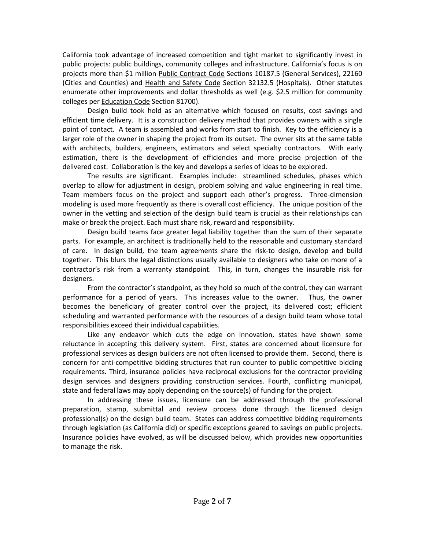California took advantage of increased competition and tight market to significantly invest in public projects: public buildings, community colleges and infrastructure. California's focus is on projects more than \$1 million Public Contract Code Sections 10187.5 (General Services), 22160 (Cities and Counties) and Health and Safety Code Section 32132.5 (Hospitals). Other statutes enumerate other improvements and dollar thresholds as well (e.g. \$2.5 million for community colleges per Education Code Section 81700).

Design build took hold as an alternative which focused on results, cost savings and efficient time delivery. It is a construction delivery method that provides owners with a single point of contact. A team is assembled and works from start to finish. Key to the efficiency is a larger role of the owner in shaping the project from its outset. The owner sits at the same table with architects, builders, engineers, estimators and select specialty contractors. With early estimation, there is the development of efficiencies and more precise projection of the delivered cost. Collaboration is the key and develops a series of ideas to be explored.

The results are significant. Examples include: streamlined schedules, phases which overlap to allow for adjustment in design, problem solving and value engineering in real time. Team members focus on the project and support each other's progress. Three-dimension modeling is used more frequently as there is overall cost efficiency. The unique position of the owner in the vetting and selection of the design build team is crucial as their relationships can make or break the project. Each must share risk, reward and responsibility.

Design build teams face greater legal liability together than the sum of their separate parts. For example, an architect is traditionally held to the reasonable and customary standard of care. In design build, the team agreements share the risk-to design, develop and build together. This blurs the legal distinctions usually available to designers who take on more of a contractor's risk from a warranty standpoint. This, in turn, changes the insurable risk for designers.

From the contractor's standpoint, as they hold so much of the control, they can warrant performance for a period of years. This increases value to the owner. Thus, the owner becomes the beneficiary of greater control over the project, its delivered cost; efficient scheduling and warranted performance with the resources of a design build team whose total responsibilities exceed their individual capabilities.

Like any endeavor which cuts the edge on innovation, states have shown some reluctance in accepting this delivery system. First, states are concerned about licensure for professional services as design builders are not often licensed to provide them. Second, there is concern for anti-competitive bidding structures that run counter to public competitive bidding requirements. Third, insurance policies have reciprocal exclusions for the contractor providing design services and designers providing construction services. Fourth, conflicting municipal, state and federal laws may apply depending on the source(s) of funding for the project.

In addressing these issues, licensure can be addressed through the professional preparation, stamp, submittal and review process done through the licensed design professional(s) on the design build team. States can address competitive bidding requirements through legislation (as California did) or specific exceptions geared to savings on public projects. Insurance policies have evolved, as will be discussed below, which provides new opportunities to manage the risk.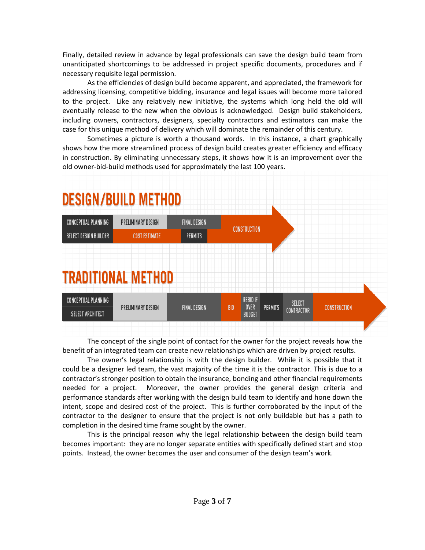Finally, detailed review in advance by legal professionals can save the design build team from unanticipated shortcomings to be addressed in project specific documents, procedures and if necessary requisite legal permission.

As the efficiencies of design build become apparent, and appreciated, the framework for addressing licensing, competitive bidding, insurance and legal issues will become more tailored to the project. Like any relatively new initiative, the systems which long held the old will eventually release to the new when the obvious is acknowledged. Design build stakeholders, including owners, contractors, designers, specialty contractors and estimators can make the case for this unique method of delivery which will dominate the remainder of this century.

Sometimes a picture is worth a thousand words. In this instance, a chart graphically shows how the more streamlined process of design build creates greater efficiency and efficacy in construction. By eliminating unnecessary steps, it shows how it is an improvement over the old owner-bid-build methods used for approximately the last 100 years.



The concept of the single point of contact for the owner for the project reveals how the benefit of an integrated team can create new relationships which are driven by project results.

The owner's legal relationship is with the design builder. While it is possible that it could be a designer led team, the vast majority of the time it is the contractor. This is due to a contractor's stronger position to obtain the insurance, bonding and other financial requirements needed for a project. Moreover, the owner provides the general design criteria and performance standards after working with the design build team to identify and hone down the intent, scope and desired cost of the project. This is further corroborated by the input of the contractor to the designer to ensure that the project is not only buildable but has a path to completion in the desired time frame sought by the owner.

This is the principal reason why the legal relationship between the design build team becomes important: they are no longer separate entities with specifically defined start and stop points. Instead, the owner becomes the user and consumer of the design team's work.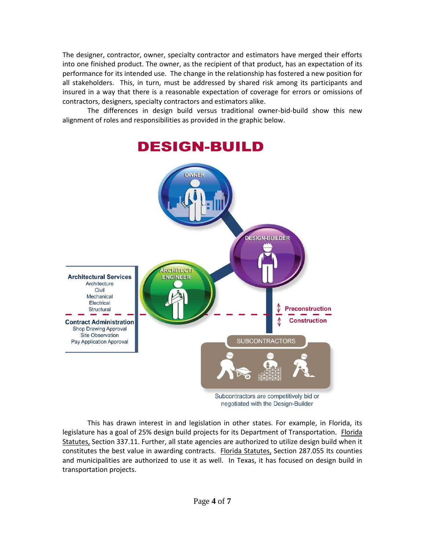The designer, contractor, owner, specialty contractor and estimators have merged their efforts into one finished product. The owner, as the recipient of that product, has an expectation of its performance for its intended use. The change in the relationship has fostered a new position for all stakeholders. This, in turn, must be addressed by shared risk among its participants and insured in a way that there is a reasonable expectation of coverage for errors or omissions of contractors, designers, specialty contractors and estimators alike.

The differences in design build versus traditional owner-bid-build show this new alignment of roles and responsibilities as provided in the graphic below.



This has drawn interest in and legislation in other states. For example, in Florida, its legislature has a goal of 25% design build projects for its Department of Transportation. Florida Statutes, Section 337.11. Further, all state agencies are authorized to utilize design build when it constitutes the best value in awarding contracts. Florida Statutes, Section 287.055 Its counties and municipalities are authorized to use it as well. In Texas, it has focused on design build in transportation projects.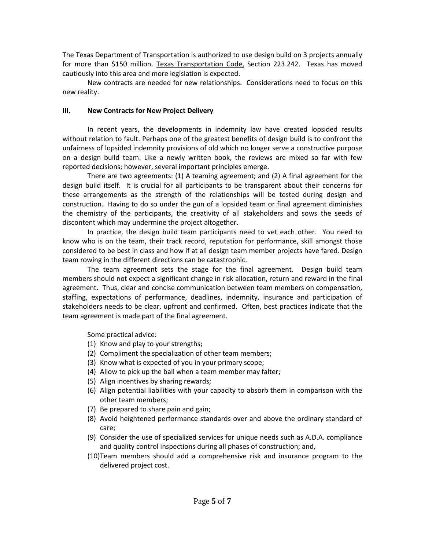The Texas Department of Transportation is authorized to use design build on 3 projects annually for more than \$150 million. Texas Transportation Code, Section 223.242. Texas has moved cautiously into this area and more legislation is expected.

New contracts are needed for new relationships. Considerations need to focus on this new reality.

### **III. New Contracts for New Project Delivery**

In recent years, the developments in indemnity law have created lopsided results without relation to fault. Perhaps one of the greatest benefits of design build is to confront the unfairness of lopsided indemnity provisions of old which no longer serve a constructive purpose on a design build team. Like a newly written book, the reviews are mixed so far with few reported decisions; however, several important principles emerge.

There are two agreements: (1) A teaming agreement; and (2) A final agreement for the design build itself. It is crucial for all participants to be transparent about their concerns for these arrangements as the strength of the relationships will be tested during design and construction. Having to do so under the gun of a lopsided team or final agreement diminishes the chemistry of the participants, the creativity of all stakeholders and sows the seeds of discontent which may undermine the project altogether.

In practice, the design build team participants need to vet each other. You need to know who is on the team, their track record, reputation for performance, skill amongst those considered to be best in class and how if at all design team member projects have fared. Design team rowing in the different directions can be catastrophic.

The team agreement sets the stage for the final agreement. Design build team members should not expect a significant change in risk allocation, return and reward in the final agreement. Thus, clear and concise communication between team members on compensation, staffing, expectations of performance, deadlines, indemnity, insurance and participation of stakeholders needs to be clear, upfront and confirmed. Often, best practices indicate that the team agreement is made part of the final agreement.

Some practical advice:

- (1) Know and play to your strengths;
- (2) Compliment the specialization of other team members;
- (3) Know what is expected of you in your primary scope;
- (4) Allow to pick up the ball when a team member may falter;
- (5) Align incentives by sharing rewards;
- (6) Align potential liabilities with your capacity to absorb them in comparison with the other team members;
- (7) Be prepared to share pain and gain;
- (8) Avoid heightened performance standards over and above the ordinary standard of care;
- (9) Consider the use of specialized services for unique needs such as A.D.A. compliance and quality control inspections during all phases of construction; and,
- (10)Team members should add a comprehensive risk and insurance program to the delivered project cost.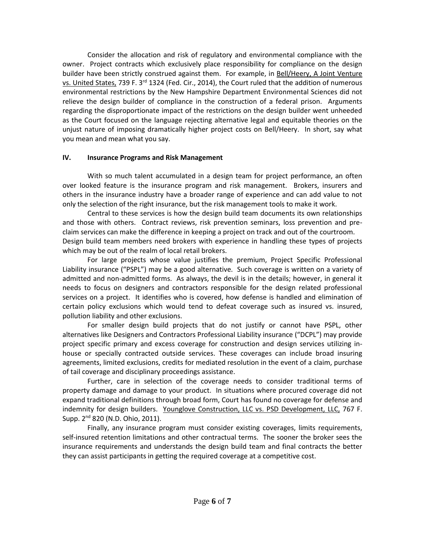Consider the allocation and risk of regulatory and environmental compliance with the owner. Project contracts which exclusively place responsibility for compliance on the design builder have been strictly construed against them. For example, in Bell/Heery, A Joint Venture vs. United States, 739 F. 3<sup>rd</sup> 1324 (Fed. Cir., 2014), the Court ruled that the addition of numerous environmental restrictions by the New Hampshire Department Environmental Sciences did not relieve the design builder of compliance in the construction of a federal prison. Arguments regarding the disproportionate impact of the restrictions on the design builder went unheeded as the Court focused on the language rejecting alternative legal and equitable theories on the unjust nature of imposing dramatically higher project costs on Bell/Heery. In short, say what you mean and mean what you say.

### **IV. Insurance Programs and Risk Management**

With so much talent accumulated in a design team for project performance, an often over looked feature is the insurance program and risk management. Brokers, insurers and others in the insurance industry have a broader range of experience and can add value to not only the selection of the right insurance, but the risk management tools to make it work.

Central to these services is how the design build team documents its own relationships and those with others. Contract reviews, risk prevention seminars, loss prevention and preclaim services can make the difference in keeping a project on track and out of the courtroom. Design build team members need brokers with experience in handling these types of projects which may be out of the realm of local retail brokers.

For large projects whose value justifies the premium, Project Specific Professional Liability insurance ("PSPL") may be a good alternative. Such coverage is written on a variety of admitted and non-admitted forms. As always, the devil is in the details; however, in general it needs to focus on designers and contractors responsible for the design related professional services on a project. It identifies who is covered, how defense is handled and elimination of certain policy exclusions which would tend to defeat coverage such as insured vs. insured, pollution liability and other exclusions.

For smaller design build projects that do not justify or cannot have PSPL, other alternatives like Designers and Contractors Professional Liability insurance ("DCPL") may provide project specific primary and excess coverage for construction and design services utilizing inhouse or specially contracted outside services. These coverages can include broad insuring agreements, limited exclusions, credits for mediated resolution in the event of a claim, purchase of tail coverage and disciplinary proceedings assistance.

Further, care in selection of the coverage needs to consider traditional terms of property damage and damage to your product. In situations where procured coverage did not expand traditional definitions through broad form, Court has found no coverage for defense and indemnity for design builders. Younglove Construction, LLC vs. PSD Development, LLC, 767 F. Supp.  $2^{nd}$  820 (N.D. Ohio, 2011).

Finally, any insurance program must consider existing coverages, limits requirements, self-insured retention limitations and other contractual terms. The sooner the broker sees the insurance requirements and understands the design build team and final contracts the better they can assist participants in getting the required coverage at a competitive cost.